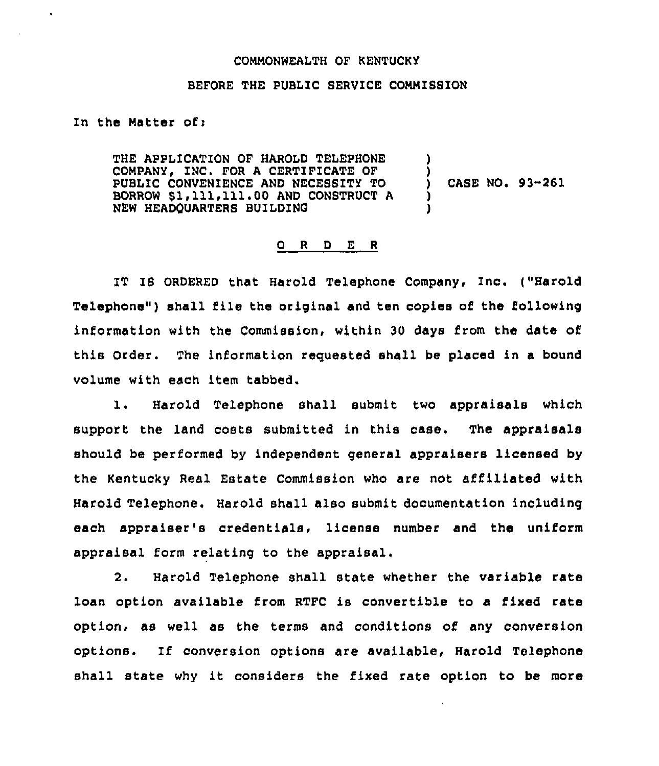## COMMONWEALTH OF KENTUCKY

## BEFORE THE PUBLIC SERVICE COMMISSION

In the Matter of  $t$ 

THE APPLICATION OF HAROLD TELEPHONE COMPANY, INC. FOR A CERTIFICATE OF PUBLIC CONVENIENCE AND NECESSITY TO BORROW \$1,111,111.00 AND CONSTRUCT A NEW HEADOUARTERS BUILDING ) ) CASE NO. 93-261 ) )

## 0 <sup>R</sup> <sup>D</sup> E <sup>R</sup>

IT IS ORDERED that Harold Telephone Company, Inc. ("Harold Telephone" ) shall file the original and ten copies of the following information with the Commission, within 30 days from the date of this Order. The information requested shall be placed in a bound volume with each item tabbed.

l. Harold Telephone shall submit two appraisals which support the land costs submitted in this case. The appraisals should be performed by independent general appraisers licensed by the Kentucky Real Estate Commission who are not affiliated with Harold Telephone. Harold shall also submit documentation including each appraiser's credentials, license number and the uniform appraisal form relating to the appraisal.

2. Harold Telephone shall state whether the variable rate loan option available from RTFC is convertible to a fixed rate option, as well as the terms and conditions of any conversion options. If conversion options are available, Harold Telephone shall state why it considers the fixed rate option to be more